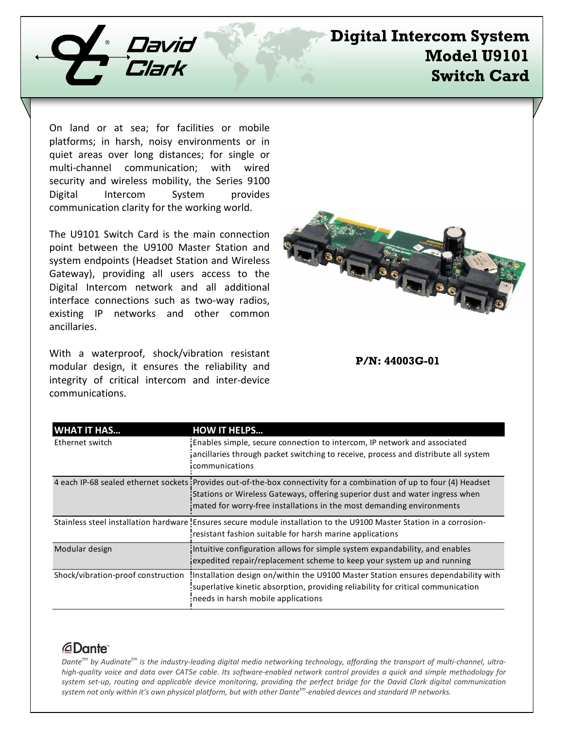

## **Digital Intercom System Model U9101 Switch Card**

On land or at sea; for facilities or mobile platforms; in harsh, noisy environments or in quiet areas over long distances; for single or multi-channel communication; with wired security and wireless mobility, the Series 9100 Digital Intercom System provides communication clarity for the working world.

The U9101 Switch Card is the main connection point between the U9100 Master Station and system endpoints (Headset Station and Wireless Gateway), providing all users access to the Digital Intercom network and all additional interface connections such as two-way radios, existing IP networks and other common ancillaries.

With a waterproof, shock/vibration resistant modular design, it ensures the reliability and integrity of critical intercom and inter-device communications.

| <b>GBI</b><br>tin é<br><b>USING IKLUSS PROTECTS TWORD IN</b><br>O PIARO<br>$\overline{H}$<br>香港 |  |
|-------------------------------------------------------------------------------------------------|--|

**P/N: 44003G-01**

| <b>WHAT IT HAS</b>                 | <b>HOW IT HELPS</b>                                                                                                                                                                                                                                                              |
|------------------------------------|----------------------------------------------------------------------------------------------------------------------------------------------------------------------------------------------------------------------------------------------------------------------------------|
| Ethernet switch                    | Enables simple, secure connection to intercom, IP network and associated<br>jancillaries through packet switching to receive, process and distribute all system<br>communications                                                                                                |
|                                    | 4 each IP-68 sealed ethernet sockets : Provides out-of-the-box connectivity for a combination of up to four (4) Headset<br>Stations or Wireless Gateways, offering superior dust and water ingress when<br>mated for worry-free installations in the most demanding environments |
|                                    | Stainless steel installation hardware Ensures secure module installation to the U9100 Master Station in a corrosion-<br>resistant fashion suitable for harsh marine applications                                                                                                 |
| Modular design                     | Intuitive configuration allows for simple system expandability, and enables<br>jexpedited repair/replacement scheme to keep your system up and running                                                                                                                           |
| Shock/vibration-proof construction | Installation design on/within the U9100 Master Station ensures dependability with<br>superlative kinetic absorption, providing reliability for critical communication<br>needs in harsh mobile applications                                                                      |

## *<u>ADante</u>*

*Dantetm by Audinatetm is the industry-leading digital media networking technology, affording the transport of multi-channel, ultrahigh-quality voice and data over CAT5e cable. Its software-enabled network control provides a quick and simple methodology for system set-up, routing and applicable device monitoring, providing the perfect bridge for the David Clark digital communication system not only within it's own physical platform, but with other Dantetm-enabled devices and standard IP networks.*